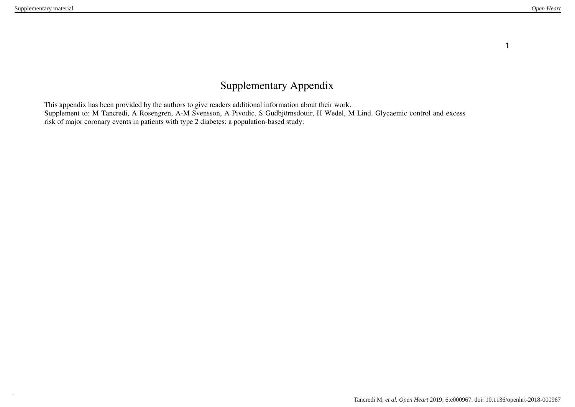# Supplementary Appendix

This appendix has been provided by the authors to give readers additional information about their work. Supplement to: M Tancredi, A Rosengren, A-M Svensson, A Pivodic, S Gudbjörnsdottir, H Wedel, M Lind. Glycaemic control and excess risk of major coronary events in patients with type 2 diabetes: a population-based study.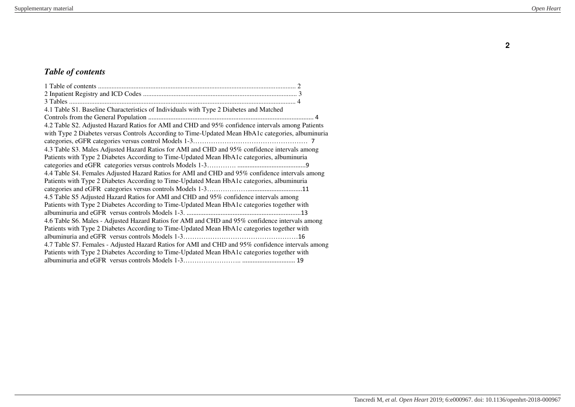# *Table of contents*

| 4.1 Table S1. Baseline Characteristics of Individuals with Type 2 Diabetes and Matched            |
|---------------------------------------------------------------------------------------------------|
|                                                                                                   |
| 4.2 Table S2. Adjusted Hazard Ratios for AMI and CHD and 95% confidence intervals among Patients  |
| with Type 2 Diabetes versus Controls According to Time-Updated Mean HbA1c categories, albuminuria |
|                                                                                                   |
| 4.3 Table S3. Males Adjusted Hazard Ratios for AMI and CHD and 95% confidence intervals among     |
| Patients with Type 2 Diabetes According to Time-Updated Mean HbA1c categories, albuminuria        |
|                                                                                                   |
| 4.4 Table S4. Females Adjusted Hazard Ratios for AMI and CHD and 95% confidence intervals among   |
| Patients with Type 2 Diabetes According to Time-Updated Mean HbA1c categories, albuminuria        |
|                                                                                                   |
| 4.5 Table S5 Adjusted Hazard Ratios for AMI and CHD and 95% confidence intervals among            |
| Patients with Type 2 Diabetes According to Time-Updated Mean HbA1c categories together with       |
|                                                                                                   |
| 4.6 Table S6. Males - Adjusted Hazard Ratios for AMI and CHD and 95% confidence intervals among   |
| Patients with Type 2 Diabetes According to Time-Updated Mean HbA1c categories together with       |
|                                                                                                   |
| 4.7 Table S7. Females - Adjusted Hazard Ratios for AMI and CHD and 95% confidence intervals among |
| Patients with Type 2 Diabetes According to Time-Updated Mean HbA1c categories together with       |
|                                                                                                   |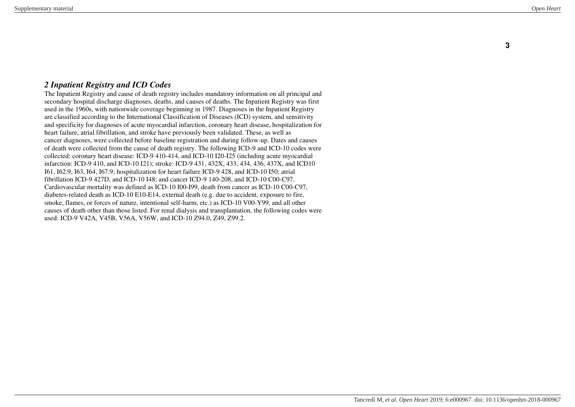#### *2 Inpatient Registry and ICD Codes*

The Inpatient Registry and cause of death registry includes mandatory information on all principal and secondary hospital discharge diagnoses, deaths, and causes of deaths. The Inpatient Registry was first used in the 1960s, with nationwide coverage beginning in 1987. Diagnoses in the Inpatient Registry are classified according to the International Classification of Diseases (ICD) system, and sensitivity and specificity for diagnoses of acute myocardial infarction, coronary heart disease, hospitalization for heart failure, atrial fibrillation, and stroke have previously been validated. These, as well as cancer diagnoses, were collected before baseline registration and during follow-up. Dates and causes of death were collected from the cause of death registry. The following ICD-9 and ICD-10 codes were collected: coronary heart disease: ICD-9 410-414, and ICD-10 I20-I25 (including acute myocardial infarction: ICD-9 410, and ICD-10 I21); stroke: ICD-9 431, 432X, 433, 434, 436, 437X, and ICD10 I61, I62.9, I63, I64, I67.9; hospitalization for heart failure ICD-9 428, and ICD-10 I50; atrial fibrillation ICD-9 427D, and ICD-10 I48; and cancer ICD-9 140-208, and ICD-10 C00-C97. Cardiovascular mortality was defined as ICD-10 I00-I99, death from cancer as ICD-10 C00-C97, diabetes-related death as ICD-10 E10-E14, external death (e.g. due to accident, exposure to fire, smoke, flames, or forces of nature, intentional self-harm, etc.) as ICD-10 V00-Y99, and all other causes of death other than those listed. For renal dialysis and transplantation, the following codes were used: ICD-9 V42A, V45B, V56A, V56W, and ICD-10 Z94.0, Z49, Z99.2.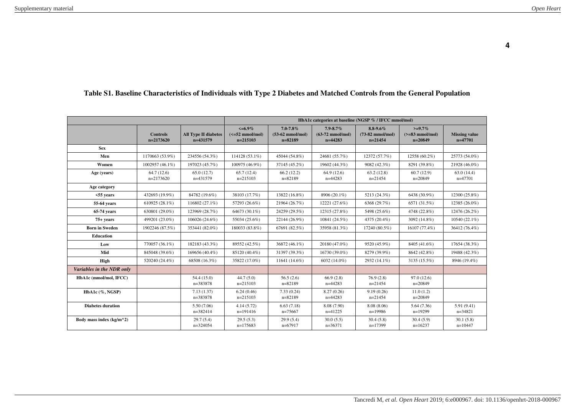|                            |                                |                                           | HbA1c categories at baseline (NGSP % / IFCC mmol/mol)   |                                                            |                                                          |                                                          |                                             |                                   |
|----------------------------|--------------------------------|-------------------------------------------|---------------------------------------------------------|------------------------------------------------------------|----------------------------------------------------------|----------------------------------------------------------|---------------------------------------------|-----------------------------------|
|                            | <b>Controls</b><br>$n=2173620$ | <b>All Type II diabetes</b><br>$n=431579$ | $\leq 6.9\%$<br>$(<=52 \text{ mmol/mol})$<br>$n=215103$ | $7.0 - 7.8\%$<br>$(53-62 \text{ mmol/mol})$<br>$n = 82189$ | $7.9 - 8.7\%$<br>$(63-72 \text{ mmol/mol})$<br>$n=44283$ | $8.8 - 9.6\%$<br>$(73-82 \text{ mmol/mol})$<br>$n=21454$ | $>=9.7\%$<br>$(>=83$ mmol/mol)<br>$n=20849$ | <b>Missing value</b><br>$n=47701$ |
| <b>Sex</b>                 |                                |                                           |                                                         |                                                            |                                                          |                                                          |                                             |                                   |
| Men                        | 1170663 (53.9%)                | 234556 (54.3%)                            | 114128 (53.1%)                                          | 45044 (54.8%)                                              | 24681 (55.7%)                                            | 12372 (57.7%)                                            | 12558 (60.2%)                               | 25773 (54.0%)                     |
| Women                      | 1002957 (46.1%)                | 197023 (45.7%)                            | 100975 (46.9%)                                          | 37145 (45.2%)                                              | 19602 (44.3%)                                            | 9082 (42.3%)                                             | 8291 (39.8%)                                | 21928 (46.0%)                     |
| Age (years)                | 64.7(12.6)<br>$n=2173620$      | 65.0(12.7)<br>n=431579                    | 65.7(12.4)<br>$n=215103$                                | 66.2(12.2)<br>$n = 82189$                                  | 64.9(12.6)<br>$n=44283$                                  | 63.2(12.8)<br>$n=21454$                                  | 60.7(12.9)<br>$n=20849$                     | 63.0(14.4)<br>$n=47701$           |
| Age category               |                                |                                           |                                                         |                                                            |                                                          |                                                          |                                             |                                   |
| $55$ vears                 | 432693 (19.9%)                 | 84782 (19.6%)                             | 38103 (17.7%)                                           | 13822 (16.8%)                                              | 8906 (20.1%)                                             | 5213 (24.3%)                                             | 6438 (30.9%)                                | 12300 (25.8%)                     |
| 55-64 years                | 610925 (28.1%)                 | 116802 (27.1%)                            | 57293 (26.6%)                                           | 21964 (26.7%)                                              | 12221 (27.6%)                                            | 6368 (29.7%)                                             | 6571 (31.5%)                                | 12385 (26.0%)                     |
| 65-74 years                | 630801 (29.0%)                 | 123969 (28.7%)                            | 64673 (30.1%)                                           | 24259 (29.5%)                                              | 12315 (27.8%)                                            | 5498 (25.6%)                                             | 4748 (22.8%)                                | 12476 (26.2%)                     |
| 75+ years                  | 499201 (23.0%)                 | 106026 (24.6%)                            | 55034 (25.6%)                                           | 22144 (26.9%)                                              | 10841 (24.5%)                                            | 4375 (20.4%)                                             | 3092 (14.8%)                                | 10540 (22.1%)                     |
| <b>Born in Sweden</b>      | 1902246 (87.5%)                | 353441 (82.0%)                            | 180033 (83.8%)                                          | 67691 (82.5%)                                              | 35958 (81.3%)                                            | 17240 (80.5%)                                            | 16107 (77.4%)                               | 36412 (76.4%)                     |
| Education                  |                                |                                           |                                                         |                                                            |                                                          |                                                          |                                             |                                   |
| Low                        | 770057 (36.1%)                 | 182183 (43.3%)                            | 89552 (42.5%)                                           | 36872 (46.1%)                                              | 20180 (47.0%)                                            | 9520 (45.9%)                                             | 8405 (41.6%)                                | 17654 (38.3%)                     |
| Mid                        | 845048 (39.6%)                 | 169656 (40.4%)                            | 85120 (40.4%)                                           | 31397 (39.3%)                                              | 16730 (39.0%)                                            | 8279 (39.9%)                                             | 8642 (42.8%)                                | 19488 (42.3%)                     |
| High                       | 520240 (24.4%)                 | 68508 (16.3%)                             | 35822 (17.0%)                                           | 11641 (14.6%)                                              | 6032 (14.0%)                                             | 2932 (14.1%)                                             | 3135 (15.5%)                                | 8946 (19.4%)                      |
| Variables in the NDR only  |                                |                                           |                                                         |                                                            |                                                          |                                                          |                                             |                                   |
| HbA1c (mmol/mol, IFCC)     |                                | 54.4(15.0)<br>n=383878                    | 44.7(5.0)<br>$n=215103$                                 | 56.5(2.6)<br>$n = 82189$                                   | 66.9(2.8)<br>$n=44283$                                   | 76.9(2.8)<br>$n=21454$                                   | 97.0 (12.6)<br>$n=20849$                    |                                   |
| HbA1c (%, NGSP)            |                                | 7.13(1.37)<br>$n=383878$                  | 6.24(0.46)<br>$n=215103$                                | 7.33(0.24)<br>$n = 82189$                                  | 8.27(0.26)<br>$n=44283$                                  | 9.19(0.26)<br>$n=21454$                                  | 11.0(1.2)<br>$n=20849$                      |                                   |
| <b>Diabetes duration</b>   |                                | 5.50 (7.06)<br>$n=382414$                 | 4.14(5.72)<br>$n=191416$                                | 6.63(7.18)<br>$n=75667$                                    | 8.08 (7.90)<br>$n=41225$                                 | 8.08(8.06)<br>$n=19986$                                  | 5.64(7.36)<br>$n=19299$                     | 5.91(9.41)<br>$n=34821$           |
| Body mass index $(kg/m^2)$ |                                | 29.7(5.4)<br>$n=324054$                   | 29.5(5.3)<br>$n=175683$                                 | 29.9(5.4)<br>$n=67917$                                     | 30.0(5.5)<br>$n=36371$                                   | 30.4(5.8)<br>$n=17399$                                   | 30.4(5.9)<br>$n=16237$                      | 30.1(5.8)<br>$n=10447$            |

# **Table S1. Baseline Characteristics of Individuals with Type 2 Diabetes and Matched Controls from the General Population**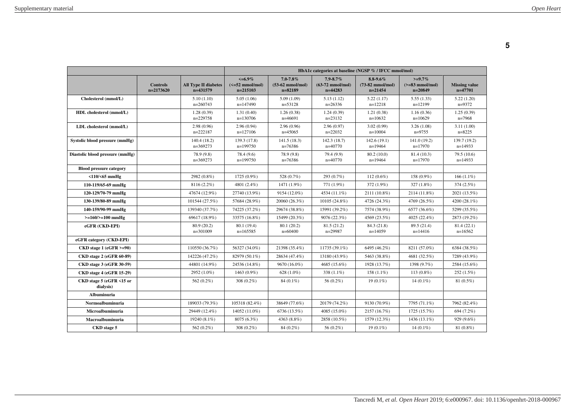|                                       |                                |                                           | HbA1c categories at baseline (NGSP % / IFCC mmol/mol)                 |                                                            |                                                          |                                                          |                                             |                                   |
|---------------------------------------|--------------------------------|-------------------------------------------|-----------------------------------------------------------------------|------------------------------------------------------------|----------------------------------------------------------|----------------------------------------------------------|---------------------------------------------|-----------------------------------|
|                                       | <b>Controls</b><br>$n=2173620$ | <b>All Type II diabetes</b><br>$n=431579$ | $\leq 6.9\%$<br>$\left(\leq 52 \text{ mmol/mol}\right)$<br>$n=215103$ | $7.0 - 7.8\%$<br>$(53-62 \text{ mmol/mol})$<br>$n = 82189$ | $7.9 - 8.7\%$<br>$(63-72 \text{ mmol/mol})$<br>$n=44283$ | $8.8 - 9.6\%$<br>$(73-82 \text{ mmol/mol})$<br>$n=21454$ | $>=9.7\%$<br>$(>=83$ mmol/mol)<br>$n=20849$ | <b>Missing value</b><br>$n=47701$ |
| Cholesterol (mmol/L)                  |                                | 5.10(1.10)<br>$n=260743$                  | 5.05(1.06)<br>$n=147490$                                              | 5.09(1.09)<br>$n=53128$                                    | 5.13(1.12)<br>$n=26336$                                  | 5.22(1.17)<br>$n=12218$                                  | 5.55(1.33)<br>$n=12199$                     | 5.22(1.20)<br>$n=9372$            |
| HDL cholesterol (mmol/L)              |                                | 1.28(0.39)<br>$n=229758$                  | 1.31(0.40)<br>$n=130706$                                              | 1.26(0.38)<br>$n=46691$                                    | 1.24(0.39)<br>$n=23132$                                  | 1.21(0.38)<br>$n=10632$                                  | 1.16(0.36)<br>$n=10629$                     | 1.25(0.39)<br>$n=7968$            |
| LDL cholesterol (mmol/L)              |                                | 2.98(0.96)<br>$n=222187$                  | 2.96(0.94)<br>$n=127106$                                              | 2.96(0.96)<br>$n=45065$                                    | 2.96(0.97)<br>$n=22032$                                  | 3.02(0.99)<br>$n=10004$                                  | 3.26(1.08)<br>$n=9755$                      | 3.11(1.00)<br>$n = 8225$          |
| Systolic blood pressure (mmHg)        |                                | 140.4 (18.2)<br>$n=369273$                | 139.3 (17.8)<br>$n=199750$                                            | 141.5(18.3)<br>$n=76386$                                   | 142.3 (18.7)<br>$n=40770$                                | 142.6(19.1)<br>$n=19464$                                 | 141.0 (19.2)<br>$n=17970$                   | 139.7 (19.2)<br>$n=14933$         |
| Diastolic blood pressure (mmHg)       |                                | 78.9 (9.8)<br>$n=369273$                  | 78.4 (9.6)<br>$n=199750$                                              | 78.9 (9.8)<br>$n=76386$                                    | 79.4 (9.9)<br>$n=40770$                                  | 80.2 (10.0)<br>$n=19464$                                 | 81.4 (10.3)<br>$n=17970$                    | 79.5 (10.6)<br>$n=14933$          |
| <b>Blood pressure category</b>        |                                |                                           |                                                                       |                                                            |                                                          |                                                          |                                             |                                   |
| $<$ 110/ $<$ 65 mmHg                  |                                | 2982 (0.8%)                               | 1725 (0.9%)                                                           | 528 (0.7%)                                                 | 293 (0.7%)                                               | $112(0.6\%)$                                             | 158 (0.9%)                                  | $166(1.1\%)$                      |
| 110-119/65-69 mmHg                    |                                | 8116 (2.2%)                               | 4801 (2.4%)                                                           | 1471 (1.9%)                                                | 771 (1.9%)                                               | 372 (1.9%)                                               | 327 (1.8%)                                  | 374 (2.5%)                        |
| 120-129/70-79 mmHg                    |                                | 47674 (12.9%)                             | 27740 (13.9%)                                                         | 9154 (12.0%)                                               | 4534 (11.1%)                                             | 2111 (10.8%)                                             | 2114 (11.8%)                                | 2021 (13.5%)                      |
| 130-139/80-89 mmHg                    |                                | 101544 (27.5%)                            | 57684 (28.9%)                                                         | 20060 (26.3%)                                              | 10105 (24.8%)                                            | 4726 (24.3%)                                             | 4769 (26.5%)                                | 4200 (28.1%)                      |
| 140-159/90-99 mmHg                    |                                | 139340 (37.7%)                            | 74225 (37.2%)                                                         | 29674 (38.8%)                                              | 15991 (39.2%)                                            | 7574 (38.9%)                                             | 6577 (36.6%)                                | 5299 (35.5%)                      |
| $>=160/>=100$ mmHg                    |                                | 69617 (18.9%)                             | 33575 (16.8%)                                                         | 15499 (20.3%)                                              | 9076 (22.3%)                                             | 4569 (23.5%)                                             | 4025 (22.4%)                                | 2873 (19.2%)                      |
| eGFR (CKD-EPI)                        |                                | 80.9 (20.2)<br>$n=301009$                 | 80.1 (19.4)<br>$n=165585$                                             | 80.1 (20.2)<br>$n=60400$                                   | 81.5(21.2)<br>$n=29987$                                  | 84.3 (21.8)<br>$n=14059$                                 | 89.5 (21.4)<br>$n=14416$                    | 81.4(22.1)<br>$n=16562$           |
| eGFR category (CKD-EPI)               |                                |                                           |                                                                       |                                                            |                                                          |                                                          |                                             |                                   |
| $CKD stage 1 (eGFR > = 90)$           |                                | 110550 (36.7%)                            | 56327 (34.0%)                                                         | 21398 (35.4%)                                              | 11735 (39.1%)                                            | 6495 (46.2%)                                             | 8211 (57.0%)                                | 6384 (38.5%)                      |
| CKD stage 2 (eGFR 60-89)              |                                | 142226 (47.2%)                            | 82979 (50.1%)                                                         | 28634 (47.4%)                                              | 13180 (43.9%)                                            | 5463 (38.8%)                                             | 4681 (32.5%)                                | 7289 (43.9%)                      |
| <b>CKD</b> stage 3 (eGFR 30-59)       |                                | 44801 (14.9%)                             | 24536 (14.8%)                                                         | 9670 (16.0%)                                               | 4685 (15.6%)                                             | 1928 (13.7%)                                             | 1398 (9.7%)                                 | 2584 (15.6%)                      |
| <b>CKD</b> stage 4 (eGFR 15-29)       |                                | 2952 (1.0%)                               | 1463 (0.9%)                                                           | 628 (1.0%)                                                 | 338 (1.1%)                                               | $158(1.1\%)$                                             | $113(0.8\%)$                                | 252 (1.5%)                        |
| CKD stage 5 (eGFR <15 or<br>dialysis) |                                | 562 (0.2%)                                | 308 (0.2%)                                                            | 84 (0.1%)                                                  | 56 (0.2%)                                                | $19(0.1\%)$                                              | $14(0.1\%)$                                 | 81 (0.5%)                         |
| Albuminuria                           |                                |                                           |                                                                       |                                                            |                                                          |                                                          |                                             |                                   |
| Normoalbuminuria                      |                                | 189033 (79.3%)                            | 105318 (82.4%)                                                        | 38649 (77.6%)                                              | 20179 (74.2%)                                            | 9130 (70.9%)                                             | 7795 (71.1%)                                | 7962 (82.4%)                      |
| Microalbuminuria                      |                                | 29449 (12.4%)                             | 14052 (11.0%)                                                         | 6736 (13.5%)                                               | 4085 (15.0%)                                             | 2157 (16.7%)                                             | 1725 (15.7%)                                | 694 (7.2%)                        |
| Macroalbuminuria                      |                                | 19240 (8.1%)                              | 8075 (6.3%)                                                           | 4363 (8.8%)                                                | 2858 (10.5%)                                             | 1579 (12.3%)                                             | 1436 (13.1%)                                | 929 (9.6%)                        |
| CKD stage 5                           |                                | 562 (0.2%)                                | 308 (0.2%)                                                            | 84 (0.2%)                                                  | 56 (0.2%)                                                | $19(0.1\%)$                                              | $14(0.1\%)$                                 | 81 (0.8%)                         |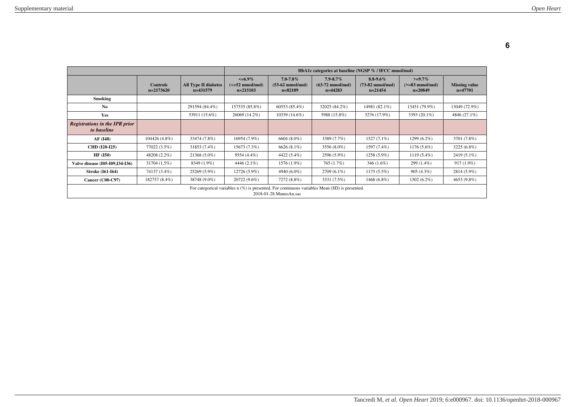|                                                                                                                          |                                |                                           | HbA1c categories at baseline (NGSP % / IFCC mmol/mol)   |                                                            |                                                          |                                                          |                                             |                                   |
|--------------------------------------------------------------------------------------------------------------------------|--------------------------------|-------------------------------------------|---------------------------------------------------------|------------------------------------------------------------|----------------------------------------------------------|----------------------------------------------------------|---------------------------------------------|-----------------------------------|
|                                                                                                                          | <b>Controls</b><br>$n=2173620$ | <b>All Type II diabetes</b><br>$n=431579$ | $\leq 6.9\%$<br>$\left(\leq=52$ mmol/mol)<br>$n=215103$ | $7.0 - 7.8\%$<br>$(53-62 \text{ mmol/mol})$<br>$n = 82189$ | $7.9 - 8.7\%$<br>$(63-72 \text{ mmol/mol})$<br>$n=44283$ | $8.8 - 9.6\%$<br>$(73-82 \text{ mmol/mol})$<br>$n=21454$ | $>=9.7\%$<br>$(>=83$ mmol/mol)<br>$n=20849$ | <b>Missing value</b><br>$n=47701$ |
| Smoking                                                                                                                  |                                |                                           |                                                         |                                                            |                                                          |                                                          |                                             |                                   |
| No.                                                                                                                      |                                | 291594 (84.4%)                            | 157535 (85.8%)                                          | 60553 (85.4%)                                              | 32025 (84.2%)                                            | 14981 (82.1%)                                            | 13451 (79.9%)                               | 13049 (72.9%)                     |
| Yes                                                                                                                      |                                | 53911 (15.6%)                             | 26069 (14.2%)                                           | 10339 (14.6%)                                              | 5988 (15.8%)                                             | 3276 (17.9%)                                             | 3393 (20.1%)                                | 4846 (27.1%)                      |
| Registrations in the IPR prior<br>to baseline                                                                            |                                |                                           |                                                         |                                                            |                                                          |                                                          |                                             |                                   |
| AF (148)                                                                                                                 | 104426 (4.8%)                  | 33474 (7.8%)                              | 16954 (7.9%)                                            | $6604(8.0\%)$                                              | 3389 (7.7%)                                              | $1527(7.1\%)$                                            | 1299 (6.2%)                                 | 3701 (7.8%)                       |
| <b>CHD</b> (I20-I25)                                                                                                     | 77022 (3.5%)                   | 31853 (7.4%)                              | 15673 (7.3%)                                            | $6626(8.1\%)$                                              | 3556 (8.0%)                                              | 1597 (7.4%)                                              | 1176 (5.6%)                                 | 3225 (6.8%)                       |
| <b>HF</b> (150)                                                                                                          | 48208 (2.2%)                   | 21368 (5.0%)                              | 9554 (4.4%)                                             | 4422 (5.4%)                                                | 2596 (5.9%)                                              | 1258 (5.9%)                                              | 1119 (5.4%)                                 | 2419 (5.1%)                       |
| Valve disease (105-109, 134-136)                                                                                         | 31704 (1.5%)                   | 8349 (1.9%)                               | $4446(2.1\%)$                                           | 1576 (1.9%)                                                | 765 (1.7%)                                               | 346 (1.6%)                                               | 299 (1.4%)                                  | $917(1.9\%)$                      |
| <b>Stroke (161-164)</b>                                                                                                  | 74137 (3.4%)                   | 25269 (5.9%)                              | 12726 (5.9%)                                            | 4940 (6.0%)                                                | 2709 (6.1%)                                              | $1175(5.5\%)$                                            | 905(4.3%)                                   | 2814 (5.9%)                       |
| Cancer $(C00-C97)$                                                                                                       | 182757 (8.4%)                  | 38748 (9.0%)                              | 20722 (9.6%)                                            | 7272 (8.8%)                                                | 3331 (7.5%)                                              | 1468 (6.8%)                                              | $1302(6.2\%)$                               | 4653 (9.8%)                       |
| For categorical variables n (%) is presented. For continuous variables Mean (SD) is presented.<br>2018-01-28 ManusAn.sas |                                |                                           |                                                         |                                                            |                                                          |                                                          |                                             |                                   |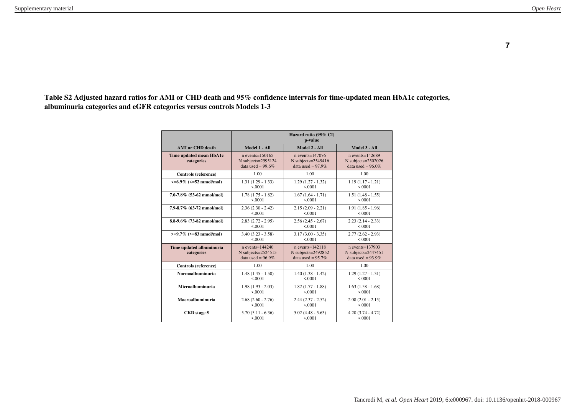**Table S2 Adjusted hazard ratios for AMI or CHD death and 95% confidence intervals for time-updated mean HbA1c categories, albuminuria categories and eGFR categories versus controls Models 1-3**

|                                        | Hazard ratio (95% CI)<br>p-value                                      |                                                                       |                                                                       |  |  |  |
|----------------------------------------|-----------------------------------------------------------------------|-----------------------------------------------------------------------|-----------------------------------------------------------------------|--|--|--|
| <b>AMI</b> or CHD death                | Model 1 - All                                                         | Model 2 - All                                                         | Model 3 - All                                                         |  |  |  |
| Time updated mean HbA1c<br>categories  | $n$ events= $150165$<br>N subjects= $2595124$<br>data used = $99.6\%$ | $n$ events= $147076$<br>N subjects= $2549416$<br>data used = $97.9\%$ | $n$ events= $142689$<br>N subjects= $2502026$<br>data used = $96.0\%$ |  |  |  |
| Controls (reference)                   | 1.00                                                                  | 1.00                                                                  | 1.00                                                                  |  |  |  |
| $\leq 6.9\%$ ( $\leq 52$ mmol/mol)     | $1.31(1.29 - 1.33)$                                                   | $1.29(1.27 - 1.32)$                                                   | $1.19(1.17 - 1.21)$                                                   |  |  |  |
|                                        | 5.0001                                                                | 5.0001                                                                | 5.0001                                                                |  |  |  |
| $7.0 - 7.8\%$ (53-62 mmol/mol)         | $1.78(1.75 - 1.82)$                                                   | $1.67(1.64 - 1.71)$                                                   | $1.51(1.48 - 1.55)$                                                   |  |  |  |
|                                        | < 0.0001                                                              | 5.0001                                                                | < 0.0001                                                              |  |  |  |
| 7.9-8.7% (63-72 mmol/mol)              | $2.36(2.30 - 2.42)$                                                   | $2.15(2.09 - 2.21)$                                                   | $1.91(1.85 - 1.96)$                                                   |  |  |  |
|                                        | 5.0001                                                                | 5.0001                                                                | 5.0001                                                                |  |  |  |
| 8.8-9.6% (73-82 mmol/mol)              | $2.83(2.72 - 2.95)$                                                   | $2.56(2.45 - 2.67)$                                                   | $2.23(2.14 - 2.33)$                                                   |  |  |  |
|                                        | < 0.0001                                                              | < 0.0001                                                              | < 0001                                                                |  |  |  |
| $>=9.7\%$ ( $>=83$ mmol/mol)           | $3.40(3.23 - 3.58)$                                                   | $3.17(3.00 - 3.35)$                                                   | $2.77(2.62 - 2.93)$                                                   |  |  |  |
|                                        | 5.0001                                                                | 5.0001                                                                | 5.0001                                                                |  |  |  |
| Time updated albuminuria<br>categories | $n$ events= $144240$<br>N subjects=2524515<br>data used = $96.9\%$    | $n$ events= $142118$<br>N subjects=2492852<br>data used = $95.7\%$    | $n$ events= $137903$<br>N subjects=2447451<br>data used = $93.9\%$    |  |  |  |
| Controls (reference)                   | 1.00                                                                  | 1.00                                                                  | 1.00                                                                  |  |  |  |
| Normoalbuminuria                       | $1.48(1.45 - 1.50)$                                                   | $1.40(1.38 - 1.42)$                                                   | $1.29(1.27 - 1.31)$                                                   |  |  |  |
|                                        | 5.0001                                                                | < 0.0001                                                              | < 0.0001                                                              |  |  |  |
| Microalbuminuria                       | $1.98(1.93 - 2.03)$                                                   | $1.82(1.77 - 1.88)$                                                   | $1.63(1.58 - 1.68)$                                                   |  |  |  |
|                                        | 5.0001                                                                | 5.0001                                                                | 5.0001                                                                |  |  |  |
| Macroalbuminuria                       | $2.68(2.60 - 2.76)$                                                   | $2.44(2.37 - 2.52)$                                                   | $2.08(2.01 - 2.15)$                                                   |  |  |  |
|                                        | 5.0001                                                                | 5.0001                                                                | 5.0001                                                                |  |  |  |
| CKD stage 5                            | $5.70(5.11 - 6.36)$                                                   | $5.02(4.48 - 5.63)$                                                   | $4.20(3.74 - 4.72)$                                                   |  |  |  |
|                                        | 5.0001                                                                | 5.0001                                                                | 5.0001                                                                |  |  |  |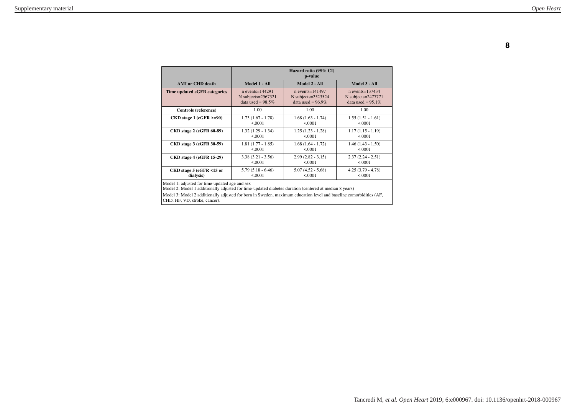|                                 |                       | Hazard ratio (95% CI)<br>p-value |                      |
|---------------------------------|-----------------------|----------------------------------|----------------------|
| <b>AMI</b> or CHD death         | Model 1 - All         | Model 3 - All                    |                      |
| Time updated eGFR categories    | $n$ events= $144291$  | $n$ events= $141497$             | $n$ events=137434    |
|                                 | N subjects= $2567321$ | N subjects= $2523524$            | $N$ subjects=2477771 |
|                                 | data used = $98.5\%$  | data used = $96.9\%$             | data used = $95.1\%$ |
| Controls (reference)            | 1.00                  | 1.00                             | 1.00                 |
| $CKD$ stage 1 (eGFR >=90)       | $1.73(1.67 - 1.78)$   | $1.68(1.63 - 1.74)$              | $1.55(1.51 - 1.61)$  |
|                                 | 5.0001                | 5.0001                           | 5.0001               |
| <b>CKD</b> stage 2 (eGFR 60-89) | $1.32(1.29 - 1.34)$   | $1.25(1.23 - 1.28)$              | $1.17(1.15 - 1.19)$  |
|                                 | 5.0001                | 5.0001                           | 5.0001               |
| <b>CKD</b> stage 3 (eGFR 30-59) | $1.81(1.77 - 1.85)$   | $1.68(1.64 - 1.72)$              | $1.46(1.43 - 1.50)$  |
|                                 | 50001                 | 50001                            | 50001                |
| <b>CKD</b> stage 4 (eGFR 15-29) | $3.38(3.21 - 3.56)$   | $2.99(2.82 - 3.15)$              | $2.37(2.24 - 2.51)$  |
|                                 | < 0.0001              | < 0.0001                         | < 0.0001             |
| CKD stage 5 (eGFR <15 or        | $5.79(5.18 - 6.46)$   | $5.07(4.52 - 5.68)$              | $4.25(3.79 - 4.78)$  |
| dialysis)                       | < 0.0001              | 50001                            | < 0.0001             |

Model 1: adjusted for time-updated age and sex Model 2: Model 1 additionally adjusted for time-updated diabetes duration (centered at median 8 years)

Model 3: Model 2 additionally adjusted for born in Sweden, maximum education level and baseline comorbidities (AF, CHD, HF, VD, stroke, cancer).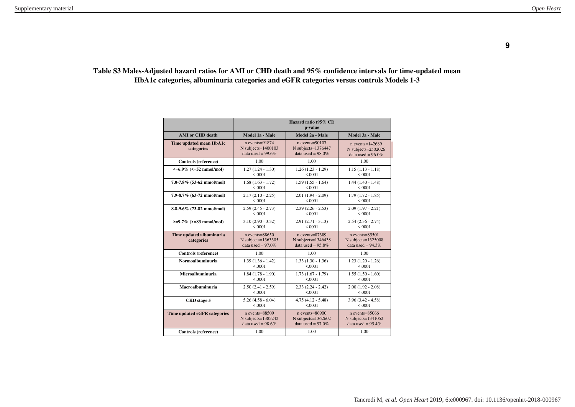#### **Table S3 Males-Adjusted hazard ratios for AMI or CHD death and 95% confidence intervals for time-updated mean HbA1c categories, albuminuria categories and eGFR categories versus controls Models 1-3**

|                                        | Hazard ratio (95% CI)<br>p-value                                    |                                                                   |                                                                        |  |  |  |
|----------------------------------------|---------------------------------------------------------------------|-------------------------------------------------------------------|------------------------------------------------------------------------|--|--|--|
| <b>AMI</b> or CHD death                | Model 1a - Male                                                     | Model 2a - Male                                                   | Model 3a - Male                                                        |  |  |  |
| Time updated mean HbA1c<br>categories  | $n$ events=91874<br>$N$ subjects= $1400103$<br>data used = $99.6\%$ | $n$ events=90107<br>N subjects=1376447<br>data used = $98.0\%$    | $n$ events= $142689$<br>N subjects=2502026<br>data used = $96.0\%$     |  |  |  |
| Controls (reference)                   | 1.00                                                                | 1.00                                                              | 1.00                                                                   |  |  |  |
| $\leq 6.9\%$ ( $\leq 52$ mmol/mol)     | $1.27(1.24 - 1.30)$                                                 | $1.26(1.23 - 1.29)$                                               | $1.15(1.13 - 1.18)$                                                    |  |  |  |
|                                        | 5.0001                                                              | 5.0001                                                            | &0001                                                                  |  |  |  |
| $7.0 - 7.8\%$ (53-62 mmol/mol)         | $1.68(1.63 - 1.72)$                                                 | $1.59(1.55 - 1.64)$                                               | $1.44(1.40 - 1.48)$                                                    |  |  |  |
|                                        | &0.0001                                                             | < 0.0001                                                          | < 0.0001                                                               |  |  |  |
| 7.9-8.7% (63-72 mmol/mol)              | $2.17(2.10 - 2.25)$                                                 | $2.01(1.94 - 2.09)$                                               | $1.79(1.72 - 1.85)$                                                    |  |  |  |
|                                        | 5.0001                                                              | < 0.0001                                                          | &0001                                                                  |  |  |  |
| 8.8-9.6% (73-82 mmol/mol)              | $2.59(2.45 - 2.73)$                                                 | $2.39(2.26 - 2.53)$                                               | $2.09(1.97 - 2.21)$                                                    |  |  |  |
|                                        | 5.0001                                                              | 5.0001                                                            | < 0.0001                                                               |  |  |  |
| $>=9.7\%$ (>=83 mmol/mol)              | $3.10(2.90 - 3.32)$                                                 | $2.91(2.71 - 3.13)$                                               | $2.54(2.36 - 2.74)$                                                    |  |  |  |
|                                        | < 0.0001                                                            | < 0.0001                                                          | < 0.0001                                                               |  |  |  |
| Time updated albuminuria<br>categories | $n$ events=88650<br>N subjects= $1363305$<br>data used = $97.0\%$   | $n$ events=87389<br>N subjects= $1346438$<br>data used = $95.8\%$ | $n$ events= $85501$<br>$N$ subjects= $1325008$<br>data used = $94.3\%$ |  |  |  |
| Controls (reference)                   | 1.00                                                                | 1.00                                                              | 1.00                                                                   |  |  |  |
| Normoalbuminuria                       | $1.39(1.36 - 1.42)$                                                 | $1.33(1.30 - 1.36)$                                               | $1.23(1.20 - 1.26)$                                                    |  |  |  |
|                                        | 5.0001                                                              | 5.0001                                                            | &0001                                                                  |  |  |  |
| Microalbuminuria                       | $1.84(1.78 - 1.90)$                                                 | $1.73(1.67 - 1.79)$                                               | $1.55(1.50 - 1.60)$                                                    |  |  |  |
|                                        | 5.0001                                                              | 5.0001                                                            | 5.0001                                                                 |  |  |  |
| Macroalbuminuria                       | $2.50(2.41 - 2.59)$                                                 | $2.33(2.24 - 2.42)$                                               | $2.00(1.92 - 2.08)$                                                    |  |  |  |
|                                        | &0.0001                                                             | 5.0001                                                            | < 0.0001                                                               |  |  |  |
| <b>CKD</b> stage 5                     | $5.26(4.58 - 6.04)$                                                 | $4.75(4.12 - 5.48)$                                               | $3.96(3.42 - 4.58)$                                                    |  |  |  |
|                                        | 5.0001                                                              | 5.0001                                                            | 5.0001                                                                 |  |  |  |
| Time updated eGFR categories           | $n$ events= $88509$                                                 | $n$ events=86900                                                  | $n$ events= $85066$                                                    |  |  |  |
|                                        | N subjects= $1385242$                                               | N subjects= $1362602$                                             | N subjects= $1341052$                                                  |  |  |  |
|                                        | data used = $98.6\%$                                                | data used = $97.0\%$                                              | data used = $95.4\%$                                                   |  |  |  |
| Controls (reference)                   | 1.00                                                                | 1.00                                                              | 1.00                                                                   |  |  |  |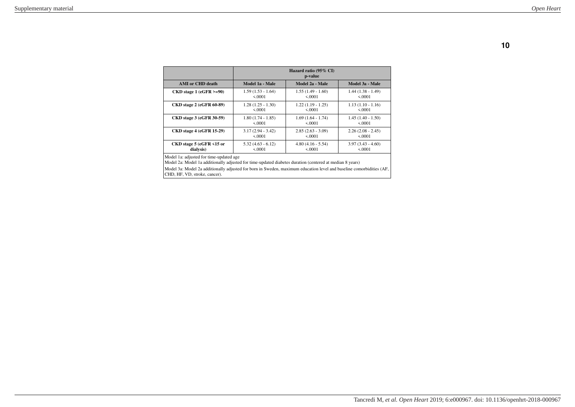|                                 | Hazard ratio $(95\% \text{ CI})$<br>p-value |                     |                     |  |  |  |
|---------------------------------|---------------------------------------------|---------------------|---------------------|--|--|--|
| AMI or CHD death                | Model 1a - Male                             | Model 2a - Male     | Model 3a - Male     |  |  |  |
| $CKD$ stage 1 (eGFR >=90)       | $1.59(1.53 - 1.64)$                         | $1.55(1.49 - 1.60)$ | $1.44(1.38 - 1.49)$ |  |  |  |
|                                 | 5.0001                                      | 5.0001              | 5.0001              |  |  |  |
| <b>CKD</b> stage 2 (eGFR 60-89) | $1.28(1.25 - 1.30)$                         | $1.22(1.19 - 1.25)$ | $1.13(1.10 - 1.16)$ |  |  |  |
|                                 | 5.0001                                      | 5.0001              | 5.0001              |  |  |  |
| <b>CKD</b> stage 3 (eGFR 30-59) | $1.80(1.74 - 1.85)$                         | $1.69(1.64 - 1.74)$ | $1.45(1.40 - 1.50)$ |  |  |  |
|                                 | 5.0001                                      | 5.0001              | 5.0001              |  |  |  |
| <b>CKD</b> stage 4 (eGFR 15-29) | $3.17(2.94 - 3.42)$                         | $2.85(2.63 - 3.09)$ | $2.26(2.08 - 2.45)$ |  |  |  |
|                                 | 5.0001                                      | 5.0001              | 5.0001              |  |  |  |
| CKD stage 5 (eGFR <15 or        | $5.32(4.63 - 6.12)$                         | $4.80(4.16 - 5.54)$ | $3.97(3.43 - 4.60)$ |  |  |  |
| dialysis)                       | 5.0001                                      | 5.0001              | 5.0001              |  |  |  |

Model 1a: adjusted for time-updated age Model 2a: Model 1a additionally adjusted for time-updated diabetes duration (centered at median 8 years)

Model 3a: Model 2a additionally adjusted for born in Sweden, maximum education level and baseline comorbidities (AF, CHD, HF, VD, stroke, cancer).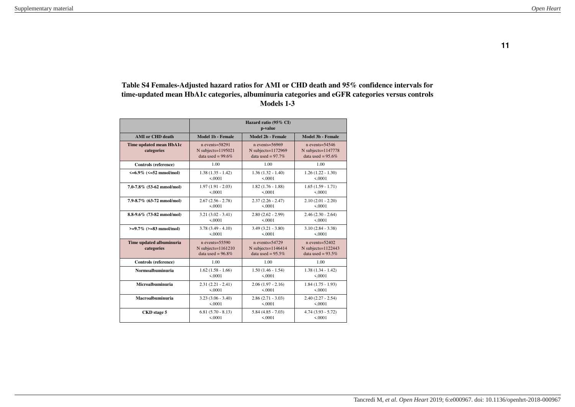## **Table S4 Females-Adjusted hazard ratios for AMI or CHD death and 95% confidence intervals for time-updated mean HbA1c categories, albuminuria categories and eGFR categories versus controls Models 1-3**

|                                        | Hazard ratio (95% CI)<br>p-value                                       |                                                                      |                                                                        |  |  |  |
|----------------------------------------|------------------------------------------------------------------------|----------------------------------------------------------------------|------------------------------------------------------------------------|--|--|--|
| <b>AMI</b> or CHD death                | Model 1b - Female                                                      | Model 2b - Female                                                    | Model 3b - Female                                                      |  |  |  |
| Time updated mean HbA1c<br>categories  | $n$ events= $58291$<br>$N$ subjects= $1195021$<br>data used = $99.6\%$ | $n$ events= $56969$<br>N subjects=1172969<br>data used = $97.7\%$    | $n$ events= $54546$<br>N subjects= $1147778$<br>data used = $95.6\%$   |  |  |  |
| Controls (reference)                   | 1.00                                                                   | 1.00                                                                 | 1.00                                                                   |  |  |  |
| $\leq 6.9\%$ ( $\leq 52$ mmol/mol)     | $1.38(1.35 - 1.42)$                                                    | $1.36(1.32 - 1.40)$                                                  | $1.26(1.22 - 1.30)$                                                    |  |  |  |
|                                        | 5.0001                                                                 | 5.0001                                                               | 5.0001                                                                 |  |  |  |
| $7.0 - 7.8\%$ (53-62 mmol/mol)         | $1.97(1.91 - 2.03)$                                                    | $1.82(1.76 - 1.88)$                                                  | $1.65(1.59 - 1.71)$                                                    |  |  |  |
|                                        | < 0.0001                                                               | < 0.0001                                                             | < 0.0001                                                               |  |  |  |
| 7.9-8.7% (63-72 mmol/mol)              | $2.67(2.56 - 2.78)$                                                    | $2.37(2.26 - 2.47)$                                                  | $2.10(2.01 - 2.20)$                                                    |  |  |  |
|                                        | 5.0001                                                                 | 5.0001                                                               | 5.0001                                                                 |  |  |  |
| 8.8-9.6% (73-82 mmol/mol)              | $3.21 (3.02 - 3.41)$                                                   | $2.80(2.62 - 2.99)$                                                  | $2.46(2.30 - 2.64)$                                                    |  |  |  |
|                                        | 5.0001                                                                 | < 0.0001                                                             | < 0.0001                                                               |  |  |  |
| $>=9.7\%$ (>=83 mmol/mol)              | $3.78(3.49 - 4.10)$                                                    | $3.49(3.21 - 3.80)$                                                  | $3.10(2.84 - 3.38)$                                                    |  |  |  |
|                                        | &0001                                                                  | 5.0001                                                               | 5.0001                                                                 |  |  |  |
| Time updated albuminuria<br>categories | $n$ events= $55590$<br>$N$ subjects= $1161210$<br>data used = $96.8\%$ | $n$ events= $54729$<br>N subjects= $1146414$<br>data used = $95.5\%$ | $n$ events= $52402$<br>$N$ subjects= $1122443$<br>data used = $93.5\%$ |  |  |  |
| Controls (reference)                   | 1.00                                                                   | 1.00                                                                 | 1.00                                                                   |  |  |  |
| Normoalbuminuria                       | $1.62(1.58 - 1.66)$                                                    | $1.50(1.46 - 1.54)$                                                  | $1.38(1.34 - 1.42)$                                                    |  |  |  |
|                                        | &0001                                                                  | 5.0001                                                               | 5.0001                                                                 |  |  |  |
| Microalbuminuria                       | $2.31(2.21 - 2.41)$                                                    | $2.06(1.97 - 2.16)$                                                  | $1.84(1.75 - 1.93)$                                                    |  |  |  |
|                                        | &0001                                                                  | 5.0001                                                               | 5.0001                                                                 |  |  |  |
| Macroalbuminuria                       | $3.23(3.06 - 3.40)$                                                    | $2.86(2.71 - 3.03)$                                                  | $2.40(2.27 - 2.54)$                                                    |  |  |  |
|                                        | 5.0001                                                                 | < 0.0001                                                             | < 0.0001                                                               |  |  |  |
| <b>CKD</b> stage 5                     | $6.81(5.70 - 8.13)$                                                    | $5.84(4.85 - 7.03)$                                                  | $4.74(3.93 - 5.72)$                                                    |  |  |  |
|                                        | < 0.0001                                                               | < 0.0001                                                             | 5.0001                                                                 |  |  |  |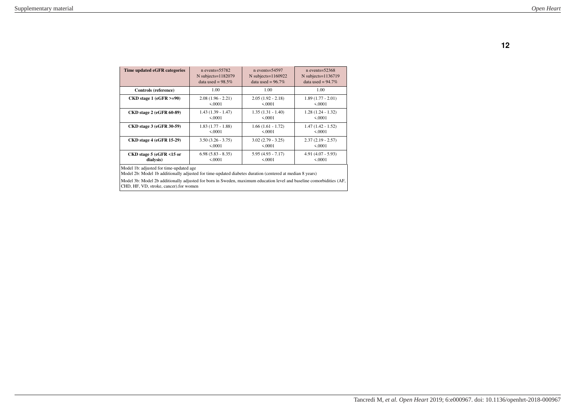| Time updated eGFR categories    | $n$ events= $55782$     | $n$ events= $54597$   | $n$ events= $52368$   |
|---------------------------------|-------------------------|-----------------------|-----------------------|
|                                 | $N$ subjects= $1182079$ | N subjects= $1160922$ | N subjects= $1136719$ |
|                                 | data used = $98.5\%$    | data used = $96.7\%$  | data used = $94.7\%$  |
| Controls (reference)            | 1.00                    | 1.00                  | 1.00                  |
| $CKD$ stage 1 (eGFR >=90)       | $2.08(1.96 - 2.21)$     | $2.05(1.92 - 2.18)$   | $1.89(1.77 - 2.01)$   |
|                                 | 5.0001                  | 5.0001                | 5.0001                |
| <b>CKD</b> stage 2 (eGFR 60-89) | $1.43(1.39 - 1.47)$     | $1.35(1.31 - 1.40)$   | $1.28(1.24 - 1.32)$   |
|                                 | 5.0001                  | 5.0001                | 5.0001                |
| <b>CKD</b> stage 3 (eGFR 30-59) | $1.83(1.77 - 1.88)$     | $1.66(1.61 - 1.72)$   | $1.47(1.42 - 1.52)$   |
|                                 | 5.0001                  | 5.0001                | 5.0001                |
| <b>CKD</b> stage 4 (eGFR 15-29) | $3.50(3.26 - 3.75)$     | $3.02(2.79 - 3.25)$   | $2.37(2.19 - 2.57)$   |
|                                 | 5.0001                  | 5.0001                | 5.0001                |
| CKD stage 5 (eGFR <15 or        | $6.98(5.83 - 8.35)$     | $5.95(4.93 - 7.17)$   | $4.91(4.07 - 5.93)$   |
| dialysis)                       | 5.0001                  | 5.0001                | 50001                 |

Model 1b: adjusted for time-updated age

Model 2b: Model 1b additionally adjusted for time-updated diabetes duration (centered at median 8 years)

Model 3b: Model 2b additionally adjusted for born in Sweden, maximum education level and baseline comorbidities (AF, CHD, HF, VD, stroke, cancer).for women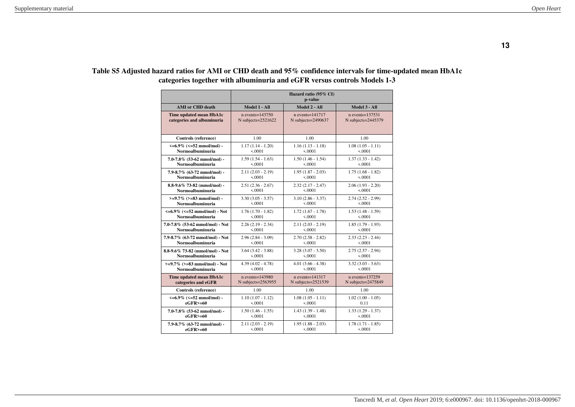|                                          | Hazard ratio (95% CI)<br>p-value |                      |                      |
|------------------------------------------|----------------------------------|----------------------|----------------------|
| <b>AMI</b> or CHD death                  | Model 1 - All                    | Model 2 - All        | Model 3 - All        |
| Time updated mean HbA1c                  | $n$ events= $143750$             | $n$ events= $141717$ | $n$ events= $137531$ |
| categories and albuminuria               | $N$ subjects= $2521622$          | N subjects=2490637   | N subjects=2445379   |
| Controls (reference)                     | 1.00                             | 1.00                 | 1.00                 |
| $\leq 6.9\%$ ( $\leq 52$ mmol/mol) -     | $1.17(1.14 - 1.20)$              | $1.16(1.13 - 1.18)$  | $1.08(1.05 - 1.11)$  |
| Normoalbuminuria                         | < 0.0001                         | < 0.0001             | < .0001              |
| $7.0 - 7.8\%$ (53-62 mmol/mol) -         | $1.59(1.54 - 1.63)$              | $1.50(1.46 - 1.54)$  | $1.37(1.33 - 1.42)$  |
| Normoalbuminuria                         | < 0.0001                         | < 0.0001             | < 0.0001             |
| 7.9-8.7% (63-72 mmol/mol) -              | $2.11(2.03 - 2.19)$              | $1.95(1.87 - 2.03)$  | $1.75(1.68 - 1.82)$  |
| Normoalbuminuria                         | < 0.0001                         | < 0.0001             | < 0.0001             |
| $8.8 - 9.6\%$ 73-82 (mmol/mol) -         | $2.51(2.36 - 2.67)$              | $2.32(2.17 - 2.47)$  | $2.06(1.93 - 2.20)$  |
| Normoalbuminuria                         | < 0.0001                         | < 0.0001             | < 0.0001             |
| $>=9.7\%$ ( $>=83$ mmol/mol) -           | $3.30(3.05 - 3.57)$              | $3.10(2.86 - 3.37)$  | $2.74(2.52 - 2.99)$  |
| Normoalbuminuria                         | < 0.0001                         | < 0.0001             | < 0.0001             |
| $\leq 6.9\%$ ( $\leq 52$ mmol/mol) - Not | $1.76(1.70 - 1.82)$              | $1.72(1.67 - 1.78)$  | $1.53(1.48 - 1.59)$  |
| Normoalbuminuria                         | < 0.0001                         | < 0.0001             | < 0.0001             |
| 7.0-7.8% (53-62 mmol/mol) - Not          | $2.26(2.19 - 2.34)$              | $2.11(2.03 - 2.19)$  | $1.85(1.79 - 1.93)$  |
| Normoalbuminuria                         | < 0.0001                         | < 0.0001             | < 0.0001             |
| 7.9-8.7% (63-72 mmol/mol) - Not          | $2.96(2.84 - 3.09)$              | $2.70(2.58 - 2.82)$  | $2.33(2.23 - 2.44)$  |
| Normoalbuminuria                         | < 0.0001                         | < 0.0001             | < 0.0001             |
| 8.8-9.6% 73-82 (mmol/mol) - Not          | $3.64$ $(3.42 - 3.88)$           | $3.28(3.07 - 3.50)$  | $2.75(2.57 - 2.94)$  |
| Normoalbuminuria                         | < 0.0001                         | < 0.0001             | < 0.0001             |
| $>=9.7\%$ ( $>=83$ mmol/mol) - Not       | $4.39(4.02 - 4.78)$              | $4.01(3.66 - 4.38)$  | $3.32(3.03 - 3.63)$  |
| Normoalbuminuria                         | < 0.0001                         | < 0.0001             | < 0.0001             |
| Time updated mean HbA1c                  | $n$ events=143980                | $n$ events= $141317$ | $n$ events= $137259$ |
| categories and eGFR                      | N subjects=2563955               | N subjects=2521539   | N subjects=2475849   |
| Controls (reference)                     | 1.00                             | 1.00                 | 1.00                 |
| $\leq 6.9\%$ ( $\leq 52$ mmol/mol) -     | $1.10(1.07 - 1.12)$              | $1.08(1.05 - 1.11)$  | $1.02(1.00 - 1.05)$  |
| $eGFR$ >=60                              | < 0.0001                         | < 0.0001             | 0.11                 |
| $7.0 - 7.8\%$ (53-62 mmol/mol) -         | $1.50(1.46 - 1.55)$              | $1.43(1.39 - 1.48)$  | $1.33(1.29 - 1.37)$  |
| $eGFR$ >=60                              | < 0.0001                         | < 0.0001             | < 0.0001             |
| $7.9 - 8.7\%$ (63-72 mmol/mol) -         | $2.11(2.03 - 2.19)$              | $1.95(1.88 - 2.03)$  | $1.78(1.71 - 1.85)$  |
| $eGFR$ >=60                              | < 0.0001                         | < 0.0001             | < 0.0001             |

## **Table S5 Adjusted hazard ratios for AMI or CHD death and 95% confidence intervals for time-updated mean HbA1c categories together with albuminuria and eGFR versus controls Models 1-3**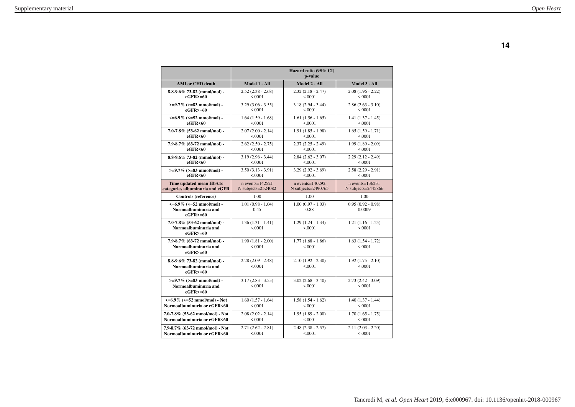|                                                                                  | Hazard ratio (95% CI)<br>p-value |                                 |                                 |
|----------------------------------------------------------------------------------|----------------------------------|---------------------------------|---------------------------------|
| <b>AMI</b> or CHD death                                                          | Model 1 - All                    | Model 2 - All                   | Model 3 - All                   |
| $8.8 - 9.6\%$ 73-82 (mmol/mol) -                                                 | $2.52(2.38 - 2.68)$              | $2.32(2.18 - 2.47)$             | $2.08(1.96 - 2.22)$             |
| $eGFR$ >=60                                                                      | < 0.0001                         | < 0.0001                        | < 0.0001                        |
| $>=9.7\%$ ( $>=83$ mmol/mol) -                                                   | $3.29(3.06 - 3.55)$              | $3.18(2.94 - 3.44)$             | $2.86(2.63 - 3.10)$             |
| $e$ GFR $> = 60$                                                                 | < 0.0001                         | < 0.0001                        | < 0.0001                        |
| $\leq 6.9\%$ ( $\leq 52$ mmol/mol) -                                             | $1.64(1.59 - 1.68)$              | $1.61(1.56 - 1.65)$             | $1.41(1.37 - 1.45)$             |
| eGFR<60                                                                          | < 0.0001                         | < 0.0001                        | < 0.0001                        |
| $7.0 - 7.8\%$ (53-62 mmol/mol) -                                                 | $2.07(2.00 - 2.14)$              | $1.91(1.85 - 1.98)$             | $1.65(1.59 - 1.71)$             |
| eGFR<60                                                                          | < 0.0001                         | < 0.0001                        | < 0.0001                        |
| $7.9 - 8.7\%$ (63-72 mmol/mol) -                                                 | $2.62(2.50 - 2.75)$              | $2.37(2.25 - 2.49)$             | $1.99(1.89 - 2.09)$             |
| eGFR<60                                                                          | < 0.0001                         | < 0.0001                        | < 0.0001                        |
| 8.8-9.6% 73-82 (mmol/mol) -                                                      | $3.19(2.96 - 3.44)$              | $2.84(2.62 - 3.07)$             | $2.29(2.12 - 2.49)$             |
| eGFR<60                                                                          | < 0.0001                         | < 0.0001                        | < 0.0001                        |
| $>=9.7\%$ ( $>=83$ mmol/mol) -                                                   | $3.50(3.13 - 3.91)$              | $3.29(2.92 - 3.69)$             | $2.58(2.29 - 2.91)$             |
| eGFR<60                                                                          | < 0.0001                         | 5.0001                          | < 0.0001                        |
| Time updated mean HbA1c                                                          | $n$ events= $142521$             | $n$ events=140292               | $n$ events= $136231$            |
| categories albuminuria and eGFR                                                  | N subjects= $2524082$            | N subjects= $2490765$           | N subjects= $2445866$           |
| Controls (reference)                                                             | 1.00                             | 1.00                            | 1.00                            |
| $\leq 6.9\%$ ( $\leq 52$ mmol/mol) -<br>Normoalbuminuria and<br>$e$ GFR $> = 60$ | $1.01(0.98 - 1.04)$<br>0.45      | $1.00(0.97 - 1.03)$<br>0.88     | $0.95(0.92 - 0.98)$<br>0.0009   |
| $7.0 - 7.8\%$ (53-62 mmol/mol) -<br>Normoalbuminuria and<br>$e$ GFR $> = 60$     | $1.36(1.31 - 1.41)$<br>< 0.0001  | $1.29(1.24 - 1.34)$<br>< 0.0001 | $1.21(1.16 - 1.25)$<br>< 0.0001 |
| 7.9-8.7% (63-72 mmol/mol) -<br>Normoalbuminuria and<br>$eGFR$ >=60               | $1.90(1.81 - 2.00)$<br>5.0001    | $1.77(1.68 - 1.86)$<br>5.0001   | $1.63(1.54 - 1.72)$<br>5.0001   |
| 8.8-9.6% 73-82 (mmol/mol) -<br>Normoalbuminuria and<br>$eGFR$ >=60               | $2.28(2.09 - 2.48)$<br>< 0.0001  | $2.10(1.92 - 2.30)$<br>5.0001   | $1.92(1.75 - 2.10)$<br>< 0.0001 |
| $>=9.7\%$ ( $>=83$ mmol/mol) -<br>Normoalbuminuria and<br>$eGFR$ >=60            | $3.17(2.83 - 3.55)$<br>< .0001   | $3.02(2.68 - 3.40)$<br>< 0.0001 | $2.73(2.42 - 3.09)$<br>< .0001  |
| $\leq 6.9\%$ ( $\leq 52$ mmol/mol) - Not                                         | $1.60(1.57 - 1.64)$              | $1.58(1.54 - 1.62)$             | $1.40(1.37 - 1.44)$             |
| Normoalbuminuria or eGFR<60                                                      | < 0.0001                         | < .0001                         | < 0.0001                        |
| 7.0-7.8% (53-62 mmol/mol) - Not                                                  | $2.08(2.02 - 2.14)$              | $1.95(1.89 - 2.00)$             | $1.70(1.65 - 1.75)$             |
| Normoalbuminuria or eGFR<60                                                      | 5.0001                           | 5.0001                          | < 0.0001                        |
| 7.9-8.7% (63-72 mmol/mol) - Not                                                  | $2.71(2.62 - 2.81)$              | $2.48(2.38 - 2.57)$             | $2.11(2.03 - 2.20)$             |
| Normoalbuminuria or eGFR<60                                                      | 5.0001                           | < 0.0001                        | < 0.0001                        |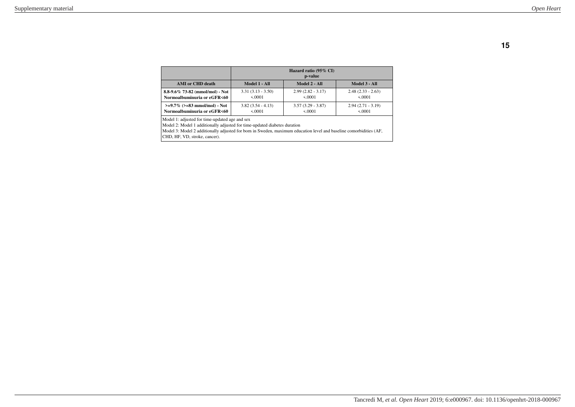|                                 | Hazard ratio (95% CI)<br>p-value |                     |                     |
|---------------------------------|----------------------------------|---------------------|---------------------|
| <b>AMI</b> or CHD death         | Model 1 - All                    | Model 2 - All       | Model 3 - All       |
| 8.8-9.6% 73-82 (mmol/mol) - Not | $3.31(3.13 - 3.50)$              | $2.99(2.82 - 3.17)$ | $2.48(2.33 - 2.63)$ |
| Normoalbuminuria or eGFR<60     | 5.0001                           | 5.0001              | 5.0001              |
| $>=9.7\%$ (>=83 mmol/mol) - Not | $3.82(3.54 - 4.13)$              | $3.57(3.29 - 3.87)$ | $2.94(2.71 - 3.19)$ |
| Normoalbuminuria or eGFR<60     | 5.0001                           | 5.0001              | 5.0001              |

Model 1: adjusted for time-updated age and sex

Model 2: Model 1 additionally adjusted for time-updated diabetes duration

Model 3: Model 2 additionally adjusted for born in Sweden, maximum education level and baseline comorbidities (AF, CHD, HF, VD, stroke, cancer).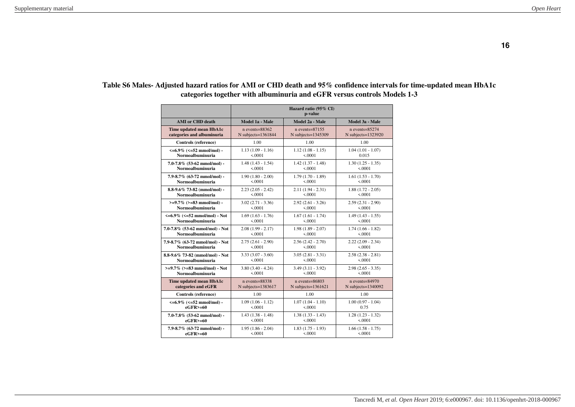|                                          | Hazard ratio (95% CI)<br>p-value |                       |                         |
|------------------------------------------|----------------------------------|-----------------------|-------------------------|
| <b>AMI</b> or CHD death                  | Model 1a - Male                  | Model 2a - Male       | Model 3a - Male         |
| Time updated mean HbA1c                  | $n$ events= $88362$              | $n$ events= $87155$   | $n$ events= $85274$     |
| categories and albuminuria               | N subjects=1361844               | N subjects=1345309    | N subjects=1323920      |
| Controls (reference)                     | 1.00                             | 1.00                  | 1.00                    |
| $\leq 6.9\%$ ( $\leq 52$ mmol/mol) -     | $1.13(1.09 - 1.16)$              | $1.12(1.08 - 1.15)$   | $1.04(1.01 - 1.07)$     |
| Normoalbuminuria                         | < .0001                          | 5.0001                | 0.015                   |
| $7.0 - 7.8\%$ (53-62 mmol/mol) -         | $1.48(1.43 - 1.54)$              | $1.42(1.37 - 1.48)$   | $1.30(1.25 - 1.35)$     |
| Normoalbuminuria                         | < 0.0001                         | < 0.0001              | < 0.0001                |
| 7.9-8.7% (63-72 mmol/mol) -              | $1.90(1.80 - 2.00)$              | $1.79(1.70 - 1.89)$   | $1.61(1.53 - 1.70)$     |
| Normoalbuminuria                         | < 0.0001                         | < 0.0001              | < 0.0001                |
| 8.8-9.6% 73-82 (mmol/mol) -              | $2.23(2.05 - 2.42)$              | $2.11(1.94 - 2.31)$   | $1.88(1.72 - 2.05)$     |
| Normoalbuminuria                         | < 0.0001                         | < .0001               | < 0.0001                |
| $>=9.7\%$ ( $>=83$ mmol/mol) -           | $3.02(2.71 - 3.36)$              | $2.92(2.61 - 3.26)$   | $2.59(2.31 - 2.90)$     |
| Normoalbuminuria                         | < 0.0001                         | < 0.0001              | < 0.0001                |
| $\leq 6.9\%$ ( $\leq 52$ mmol/mol) - Not | $1.69(1.63 - 1.76)$              | $1.67(1.61 - 1.74)$   | $1.49(1.43 - 1.55)$     |
| Normoalbuminuria                         | < 0.0001                         | < 0.0001              | < 0.0001                |
| 7.0-7.8% (53-62 mmol/mol) - Not          | $2.08(1.99 - 2.17)$              | $1.98(1.89 - 2.07)$   | $1.74(1.66 - 1.82)$     |
| <b>Normoalbuminuria</b>                  | < 0.0001                         | < 0.0001              | < 0.0001                |
| 7.9-8.7% (63-72 mmol/mol) - Not          | $2.75(2.61 - 2.90)$              | $2.56(2.42 - 2.70)$   | $2.22(2.09 - 2.34)$     |
| Normoalbuminuria                         | < 0.0001                         | < 0.0001              | < 0.0001                |
| 8.8-9.6% 73-82 (mmol/mol) - Not          | $3.33(3.07 - 3.60)$              | $3.05(2.81 - 3.31)$   | $2.58(2.38 - 2.81)$     |
| Normoalbuminuria                         | < 0.0001                         | < 0.0001              | < 0.0001                |
| $>=9.7\%$ ( $>=83$ mmol/mol) - Not       | $3.80(3.40 - 4.24)$              | $3.49(3.11 - 3.92)$   | $2.98(2.65 - 3.35)$     |
| Normoalbuminuria                         | < 0.0001                         | 5.0001                | < .0001                 |
| Time updated mean HbA1c                  | $n$ events=88338                 | $n$ events=86803      | $n$ events=84970        |
| categories and eGFR                      | $N$ subjects= $1383617$          | N subjects= $1361621$ | $N$ subjects= $1340092$ |
| Controls (reference)                     | 1.00                             | 1.00                  | 1.00                    |
| $\leq 6.9\%$ ( $\leq 52$ mmol/mol) -     | $1.09(1.06 - 1.12)$              | $1.07(1.04 - 1.10)$   | $1.00(0.97 - 1.04)$     |
| $eGFR$ $> = 60$                          | < 0.0001                         | < 0.0001              | 0.75                    |
| 7.0-7.8% (53-62 mmol/mol) -              | $1.43(1.38 - 1.48)$              | $1.38(1.33 - 1.43)$   | $1.28(1.23 - 1.32)$     |
| $eGFR$ $> = 60$                          | < 0.0001                         | < 0.0001              | < 0.0001                |
| $7.9 - 8.7\%$ (63-72 mmol/mol) -         | $1.95(1.86 - 2.04)$              | $1.83(1.75 - 1.93)$   | $1.66(1.58 - 1.75)$     |
| $eGFR$ >=60                              | < 0.0001                         | < 0.0001              | < 0.0001                |

### **Table S6 Males- Adjusted hazard ratios for AMI or CHD death and 95% confidence intervals for time-updated mean HbA1c categories together with albuminuria and eGFR versus controls Models 1-3**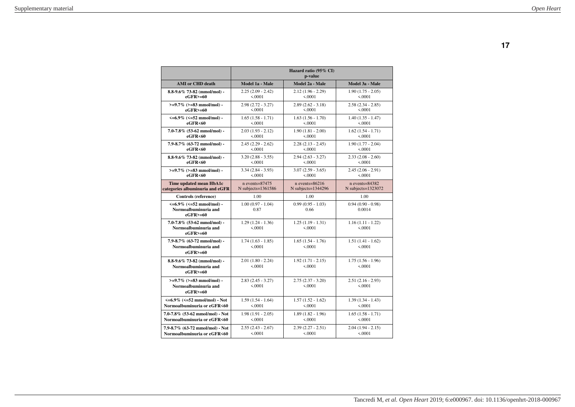|                                                                                  | Hazard ratio (95% CI)<br>p-value |                                 |                                 |
|----------------------------------------------------------------------------------|----------------------------------|---------------------------------|---------------------------------|
| <b>AMI</b> or CHD death                                                          | Model 1a - Male                  | Model 2a - Male                 | Model 3a - Male                 |
| $8.8 - 9.6\%$ 73-82 (mmol/mol) -                                                 | $2.25(2.09 - 2.42)$              | $2.12(1.96 - 2.29)$             | $1.90(1.75 - 2.05)$             |
| $eGFR$ >=60                                                                      | < 0.0001                         | < 0.0001                        | < 0.0001                        |
| $>=9.7\%$ ( $>=83$ mmol/mol) -                                                   | $2.98(2.72 - 3.27)$              | $2.89(2.62 - 3.18)$             | $2.58(2.34 - 2.85)$             |
| $eGFR$ >=60                                                                      | < 0.0001                         | < 0.0001                        | < 0.0001                        |
| $\leq 6.9\%$ ( $\leq 52$ mmol/mol) -                                             | $1.65(1.58 - 1.71)$              | $1.63(1.56 - 1.70)$             | $1.40(1.35 - 1.47)$             |
| eGFR<60                                                                          | < 0.0001                         | < 0.0001                        | < 0.0001                        |
| $7.0 - 7.8\%$ (53-62 mmol/mol) -                                                 | $2.03(1.93 - 2.12)$              | $1.90(1.81 - 2.00)$             | $1.62(1.54 - 1.71)$             |
| eGFR<60                                                                          | < 0.0001                         | < .0001                         | < 0.0001                        |
| 7.9-8.7% (63-72 mmol/mol) -                                                      | $2.45(2.29 - 2.62)$              | $2.28(2.13 - 2.45)$             | $1.90(1.77 - 2.04)$             |
| eGFR<60                                                                          | < 0.0001                         | < 0.0001                        | < 0.0001                        |
| $8.8-9.6\%$ 73-82 (mmol/mol) -                                                   | $3.20(2.88 - 3.55)$              | $2.94(2.63 - 3.27)$             | $2.33(2.08 - 2.60)$             |
| eGFR<60                                                                          | < .0001                          | < .0001                         | < .0001                         |
| $>=9.7\%$ ( $>=83$ mmol/mol) -                                                   | $3.34(2.84 - 3.93)$              | $3.07(2.59 - 3.65)$             | $2.45(2.06 - 2.91)$             |
| eGFR<60                                                                          | < 0.0001                         | < 0.0001                        | < 0.0001                        |
| Time updated mean HbA1c                                                          | $n$ events= $87475$              | $n$ events=86216                | $n$ events=84382                |
| categories albuminuria and eGFR                                                  | N subjects= $1361586$            | N subjects= $1344296$           | $N$ subjects=1323072            |
| Controls (reference)                                                             | 1.00                             | 1.00                            | 1.00                            |
| $\leq 6.9\%$ ( $\leq 52$ mmol/mol) -<br>Normoalbuminuria and<br>$e$ GFR $> = 60$ | $1.00(0.97 - 1.04)$<br>0.87      | $0.99(0.95 - 1.03)$<br>0.66     | $0.94(0.90 - 0.98)$<br>0.0014   |
| $7.0 - 7.8\%$ (53-62 mmol/mol) -<br>Normoalbuminuria and<br>$e$ GFR $> = 60$     | $1.29(1.24 - 1.36)$<br>&0001     | $1.25(1.19 - 1.31)$<br>5.0001   | $1.16(1.11 - 1.22)$<br>5.0001   |
| 7.9-8.7% (63-72 mmol/mol) -<br>Normoalbuminuria and<br>$e$ GFR $> = 60$          | $1.74(1.63 - 1.85)$<br>< 0.0001  | $1.65(1.54 - 1.76)$<br>< 0.0001 | $1.51(1.41 - 1.62)$<br>< 0.0001 |
| $8.8 - 9.6\%$ 73-82 (mmol/mol) -<br>Normoalbuminuria and<br>$eGFR$ >=60          | $2.01(1.80 - 2.24)$<br>< 0.0001  | $1.92(1.71 - 2.15)$<br>5.0001   | $1.75(1.56 - 1.96)$<br>< 0.0001 |
| $>=9.7\%$ ( $>=83$ mmol/mol) -<br>Normoalbuminuria and<br>$eGFR$ >=60            | $2.83(2.45 - 3.27)$<br>< 0.0001  | $2.75(2.37 - 3.20)$<br>< 0.0001 | $2.51(2.16 - 2.93)$<br>< 0.0001 |
| $\leq 6.9\%$ ( $\leq 52$ mmol/mol) - Not                                         | $1.59(1.54 - 1.64)$              | $1.57(1.52 - 1.62)$             | $1.39(1.34 - 1.43)$             |
| Normoalbuminuria or eGFR<60                                                      | &0001                            | 5.0001                          | &0001                           |
| 7.0-7.8% (53-62 mmol/mol) - Not                                                  | $1.98(1.91 - 2.05)$              | $1.89(1.82 - 1.96)$             | $1.65(1.58 - 1.71)$             |
| Normoalbuminuria or eGFR<60                                                      | < 0.0001                         | < 0.0001                        | < 0.0001                        |
| 7.9-8.7% (63-72 mmol/mol) - Not                                                  | $2.55(2.43 - 2.67)$              | $2.39(2.27 - 2.51)$             | $2.04(1.94 - 2.15)$             |
| Normoalbuminuria or eGFR<60                                                      | < 0.0001                         | < 0.0001                        | < 0.0001                        |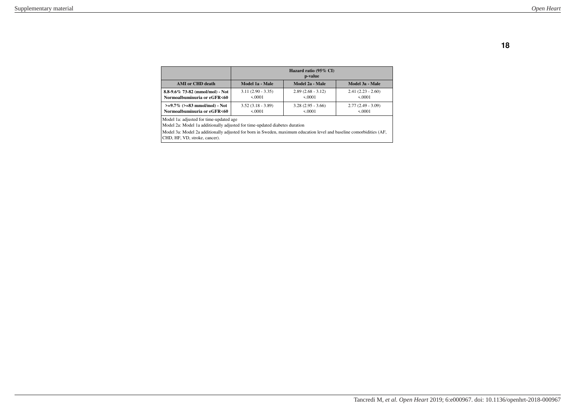|                                    | Hazard ratio (95% CI)<br>p-value |                     |                     |
|------------------------------------|----------------------------------|---------------------|---------------------|
| <b>AMI</b> or CHD death            | Model 1a - Male                  | Model 2a - Male     | Model 3a - Male     |
| 8.8-9.6% 73-82 (mmol/mol) - Not    | $3.11(2.90 - 3.35)$              | $2.89(2.68 - 3.12)$ | $2.41(2.23 - 2.60)$ |
| Normoalbuminuria or eGFR<60        | 5.0001                           | 5.0001              | 5.0001              |
| $>=9.7\%$ ( $>=83$ mmol/mol) - Not | $3.52(3.18 - 3.89)$              | $3.28(2.95 - 3.66)$ | $2.77(2.49 - 3.09)$ |
| Normoalbuminuria or eGFR<60        | < 0001                           | 5.0001              | 5.0001              |

Model 1a: adjusted for time-updated age

Model 2a: Model 1a additionally adjusted for time-updated diabetes duration

Model 3a: Model 2a additionally adjusted for born in Sweden, maximum education level and baseline comorbidities (AF, CHD, HF, VD, stroke, cancer).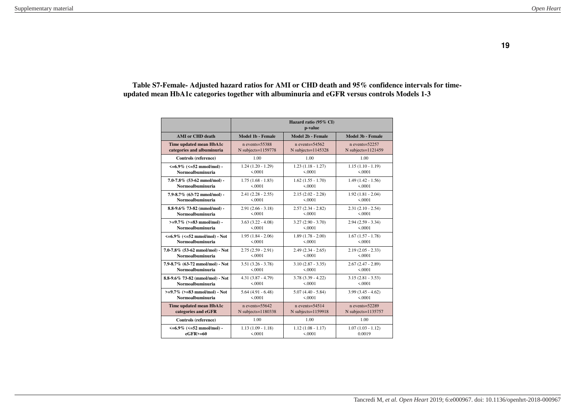## **Table S7-Female- Adjusted hazard ratios for AMI or CHD death and 95% confidence intervals for timeupdated mean HbA1c categories together with albuminuria and eGFR versus controls Models 1-3**

|                                          | Hazard ratio (95% CI)<br>p-value |                         |                         |
|------------------------------------------|----------------------------------|-------------------------|-------------------------|
| <b>AMI</b> or CHD death                  | Model 1b - Female                | Model 2b - Female       | Model 3b - Female       |
| Time updated mean HbA1c                  | $n$ events= $55388$              | $n$ events= $54562$     | $n$ events= $52257$     |
| categories and albuminuria               | $N$ subjects= $1159778$          | $N$ subjects= $1145328$ | $N$ subjects= $1121459$ |
| Controls (reference)                     | 1.00                             | 1.00                    | 1.00                    |
| $\leq 6.9\%$ ( $\leq 52$ mmol/mol) -     | $1.24(1.20 - 1.29)$              | $1.23(1.18 - 1.27)$     | $1.15(1.10 - 1.19)$     |
| Normoalbuminuria                         | 5.0001                           | < 0.0001                | < 0.0001                |
| $7.0 - 7.8\%$ (53-62 mmol/mol) -         | $1.75(1.68 - 1.83)$              | $1.62(1.55 - 1.70)$     | $1.49(1.42 - 1.56)$     |
| Normoalbuminuria                         | < 0.0001                         | < 0.0001                | < 0.0001                |
| 7.9-8.7% (63-72 mmol/mol) -              | $2.41(2.28 - 2.55)$              | $2.15(2.02 - 2.28)$     | $1.92(1.81 - 2.04)$     |
| Normoalbuminuria                         | < 0.0001                         | < 0.0001                | < 0.0001                |
| $8.8 - 9.6\%$ 73-82 (mmol/mol) -         | $2.91(2.66 - 3.18)$              | $2.57(2.34 - 2.82)$     | $2.31(2.10 - 2.54)$     |
| Normoalbuminuria                         | &0001                            | &0001                   | &0001                   |
| $>=9.7\%$ ( $>=83$ mmol/mol) -           | $3.63(3.22 - 4.08)$              | $3.27(2.90 - 3.70)$     | $2.94(2.59 - 3.34)$     |
| Normoalbuminuria                         | 5.0001                           | 5.0001                  | 5.0001                  |
| $\leq 6.9\%$ ( $\leq 52$ mmol/mol) - Not | $1.95(1.84 - 2.06)$              | $1.89(1.78 - 2.00)$     | $1.67(1.57 - 1.78)$     |
| Normoalbuminuria                         | < 0.0001                         | < 0.0001                | < 0.0001                |
| 7.0-7.8% (53-62 mmol/mol) - Not          | $2.75(2.59 - 2.91)$              | $2.49(2.34 - 2.65)$     | $2.19(2.05 - 2.33)$     |
| Normoalbuminuria                         | &0001                            | 5.0001                  | 5.0001                  |
| 7.9-8.7% (63-72 mmol/mol) - Not          | $3.51(3.26 - 3.78)$              | $3.10(2.87 - 3.35)$     | $2.67(2.47 - 2.89)$     |
| Normoalbuminuria                         | < .0001                          | < 0.0001                | < 0.0001                |
| 8.8-9.6% 73-82 (mmol/mol) - Not          | $4.31(3.87 - 4.79)$              | $3.78(3.39 - 4.22)$     | $3.15(2.81 - 3.53)$     |
| Normoalbuminuria                         | < 0.0001                         | < 0.0001                | < 0.0001                |
| $>=9.7\%$ ( $>=83$ mmol/mol) - Not       | $5.64(4.91 - 6.48)$              | $5.07(4.40 - 5.84)$     | $3.99(3.45 - 4.62)$     |
| Normoalbuminuria                         | &0.0001                          | < 0.0001                | < 0.0001                |
| Time updated mean HbA1c                  | $n$ events= $55642$              | $n$ events= $54514$     | $n$ events= $52289$     |
| categories and eGFR                      | $N$ subjects= $1180338$          | N subjects=1159918      | $N$ subjects= $1135757$ |
| Controls (reference)                     | 1.00                             | 1.00                    | 1.00                    |
| $\leq 6.9\%$ ( $\leq 52$ mmol/mol) -     | $1.13(1.09 - 1.18)$              | $1.12(1.08 - 1.17)$     | $1.07(1.03 - 1.12)$     |
| $eGFR$ >=60                              | < 0.0001                         | < 0.0001                | 0.0019                  |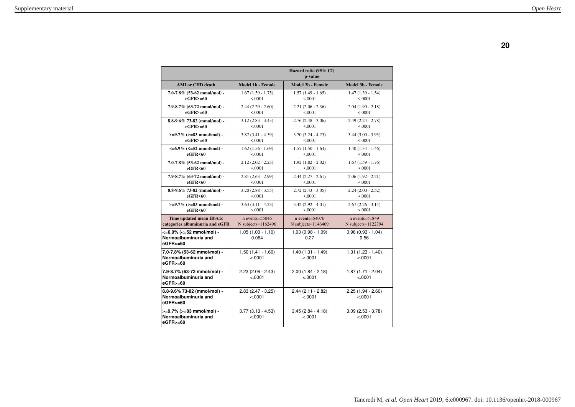|                                                                     | Hazard ratio (95% CI)<br>p-value |                                 |                                |
|---------------------------------------------------------------------|----------------------------------|---------------------------------|--------------------------------|
| <b>AMI</b> or CHD death                                             | <b>Model 1b - Female</b>         | <b>Model 2b - Female</b>        | Model 3b - Female              |
| $7.0 - 7.8\%$ (53-62 mmol/mol) -                                    | $1.67(1.59 - 1.75)$              | $1.57(1.49 - 1.65)$             | $1.47(1.39 - 1.54)$            |
| $eGFR$ $> = 60$                                                     | < 0.0001                         | < .0001                         | < 0.0001                       |
| 7.9-8.7% (63-72 mmol/mol) -                                         | $2.44(2.29 - 2.60)$              | $2.21(2.06 - 2.36)$             | $2.04(1.90 - 2.18)$            |
| $eGFR$ >=60                                                         | < 0.0001                         | < .0001                         | < 0.0001                       |
| 8.8-9.6% 73-82 (mmol/mol) -                                         | $3.12(2.83 - 3.45)$              | $2.76(2.48 - 3.06)$             | $2.49(2.24 - 2.78)$            |
| $eGFR$ $> = 60$                                                     | 5.0001                           | 5.0001                          | < 0.0001                       |
| $>=9.7\%$ (>=83 mmol/mol) -                                         | $3.87(3.41 - 4.39)$              | $3.70(3.24 - 4.23)$             | $3.44$ $(3.00 - 3.95)$         |
| $e$ GFR $> = 60$                                                    | < 0.0001                         | < .0001                         | < 0.0001                       |
| $\leq 6.9\%$ ( $\leq 52$ mmol/mol) -                                | $1.62(1.56 - 1.69)$              | $1.57(1.50 - 1.64)$             | $1.40(1.34 - 1.46)$            |
| eGFR<60                                                             | < 0.0001                         | < .0001                         | < 0.0001                       |
| $7.0 - 7.8\%$ (53-62 mmol/mol) -                                    | $2.12(2.02 - 2.23)$              | $1.92(1.82 - 2.02)$             | $1.67(1.59 - 1.76)$            |
| eGFR<60                                                             | < 0.0001                         | < 0.0001                        | < 0.0001                       |
| 7.9-8.7% (63-72 mmol/mol) -                                         | $2.81(2.63 - 2.99)$              | $2.44(2.27 - 2.61)$             | $2.06(1.92 - 2.21)$            |
| eGFR<60                                                             | < 0.0001                         | < .0001                         | < 0.0001                       |
| $8.8 - 9.6\%$ 73-82 (mmol/mol) -                                    | $3.20(2.88 - 3.55)$              | $2.72(2.43 - 3.05)$             | $2.24(2.00 - 2.52)$            |
| eGFR<60                                                             | < 0.0001                         | < 0.0001                        | < 0.0001                       |
| $>=9.7\%$ ( $>=83$ mmol/mol) -                                      | $3.63(3.11 - 4.23)$              | $3.42(2.92 - 4.01)$             | $2.67(2.26 - 3.14)$            |
| eGFR<60                                                             | < 0.0001                         | < 0.0001                        | < 0.0001                       |
| Time updated mean HbA1c                                             | $n$ events= $55046$              | $n$ events=54076                | $n$ events= $51849$            |
| categories albuminuria and eGFR                                     | N subjects= $1162496$            | N subjects= $1146469$           | $N$ subjects= $1122794$        |
| <= 6.9% (<= 52 mmol/mol) -<br>Normoalbuminuria and<br>eGFR>=60      | $1.05(1.00 - 1.10)$<br>0.064     | $1.03(0.98 - 1.09)$<br>0.27     | $0.98(0.93 - 1.04)$<br>0.56    |
| 7.0-7.8% (53-62 mmol/mol) -<br>Normoalbuminuria and<br>$eGFR$ $=60$ | $1.50(1.41 - 1.60)$<br>$-.0001$  | $1.40(1.31 - 1.49)$<br>$-.0001$ | $1.31(1.23 - 1.40)$<br>&0.001  |
| 7.9-8.7% (63-72 mmol/mol) -<br>Normoalbuminuria and<br>eGFR>=60     | $2.23(2.06 - 2.43)$<br>$-.0001$  | $2.00(1.84 - 2.18)$<br>$-.0001$ | $1.87(1.71 - 2.04)$<br>< .0001 |
| 8.8-9.6% 73-82 (mmol/mol) -<br>Normoalbuminuria and<br>eGFR>=60     | $2.83(2.47 - 3.25)$<br>< .0001   | $2.44(2.11 - 2.82)$<br>$-.0001$ | $2.25(1.94 - 2.60)$<br>< .0001 |
| >=9.7% (>=83 mmol/mol) -<br>Normoalbuminuria and<br>eGFR>=60        | $3.77(3.13 - 4.53)$<br>< .0001   | $3.45(2.84 - 4.18)$<br>< .0001  | $3.09(2.53 - 3.78)$<br>< .0001 |